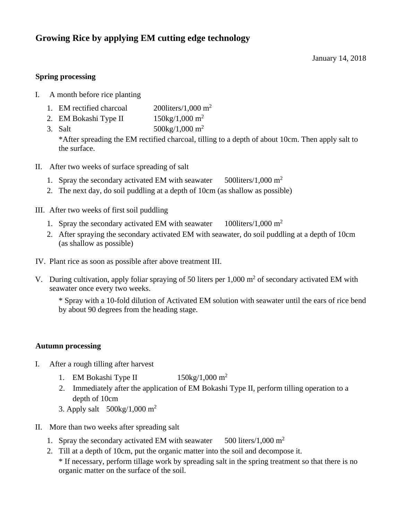# **Growing Rice by applying EM cutting edge technology**

January 14, 2018

## **Spring processing**

- I. A month before rice planting
	- 1. EM rectified charcoal 2001 iters/1,000 m<sup>2</sup>
	- 2. EM Bokashi Type II  $150\text{kg}/1,000 \text{ m}^2$
	- 3. Salt  $500\text{kg}/1,000 \text{ m}^2$

\*After spreading the EM rectified charcoal, tilling to a depth of about 10cm. Then apply salt to the surface.

- II. After two weeks of surface spreading of salt
	- 1. Spray the secondary activated EM with seawater  $500$ liters/1,000 m<sup>2</sup>
	- 2. The next day, do soil puddling at a depth of 10cm (as shallow as possible)
- III. After two weeks of first soil puddling
	- 1. Spray the secondary activated EM with seawater  $100$ liters/1,000 m<sup>2</sup>
	- 2. After spraying the secondary activated EM with seawater, do soil puddling at a depth of 10cm (as shallow as possible)
- IV. Plant rice as soon as possible after above treatment III.
- V. During cultivation, apply foliar spraying of 50 liters per  $1,000 \text{ m}^2$  of secondary activated EM with seawater once every two weeks.

\* Spray with a 10-fold dilution of Activated EM solution with seawater until the ears of rice bend by about 90 degrees from the heading stage.

#### **Autumn processing**

- I. After a rough tilling after harvest
	- 1. EM Bokashi Type II  $150\text{kg}/1,000 \text{ m}^2$
	- 2. Immediately after the application of EM Bokashi Type II, perform tilling operation to a depth of 10cm
	- 3. Apply salt  $500\text{kg}/1,000 \text{ m}^2$
- II. More than two weeks after spreading salt
	- 1. Spray the secondary activated EM with seawater  $500$  liters/1,000 m<sup>2</sup>
	- 2. Till at a depth of 10cm, put the organic matter into the soil and decompose it. \* If necessary, perform tillage work by spreading salt in the spring treatment so that there is no organic matter on the surface of the soil.